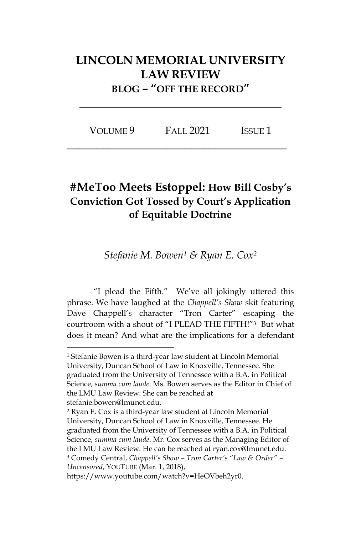## **LINCOLN MEMORIAL UNIVERSITY LAW REVIEW BLOG – "OFF THE RECORD"**

| VOLUME 9 | <b>FALL 2021</b> | <b>ISSUE 1</b> |
|----------|------------------|----------------|
|----------|------------------|----------------|

**\_\_\_\_\_\_\_\_\_\_\_\_\_\_\_\_\_\_\_\_\_\_\_\_\_\_\_\_\_\_\_\_\_\_\_\_\_**

**\_\_\_\_\_\_\_\_\_\_\_\_\_\_\_\_\_\_\_\_\_\_\_\_\_\_\_\_\_\_\_\_\_\_**

## **#MeToo Meets Estoppel: How Bill Cosby's Conviction Got Tossed by Court's Application of Equitable Doctrine**

*Stefanie M. Bowen<sup>1</sup> & Ryan E. Cox<sup>2</sup>*

"I plead the Fifth." We've all jokingly uttered this phrase. We have laughed at the *Chappell's Show* skit featuring Dave Chappell's character "Tron Carter" escaping the courtroom with a shout of "I PLEAD THE FIFTH!"3 But what does it mean? And what are the implications for a defendant

<sup>1</sup> Stefanie Bowen is a third-year law student at Lincoln Memorial University, Duncan School of Law in Knoxville, Tennessee. She graduated from the University of Tennessee with a B.A. in Political Science, *summa cum laude*. Ms. Bowen serves as the Editor in Chief of the LMU Law Review. She can be reached at stefanie.bowen@lmunet.edu.

<sup>2</sup> Ryan E. Cox is a third-year law student at Lincoln Memorial University, Duncan School of Law in Knoxville, Tennessee. He graduated from the University of Tennessee with a B.A. in Political Science, *summa cum laude*. Mr. Cox serves as the Managing Editor of the LMU Law Review. He can be reached at ryan.cox@lmunet.edu. <sup>3</sup> Comedy Central, *Chappell's Show – Tron Carter's "Law & Order" – Uncensored*, YOUTUBE (Mar. 1, 2018),

https://www.youtube.com/watch?v=HeOVbeh2yr0.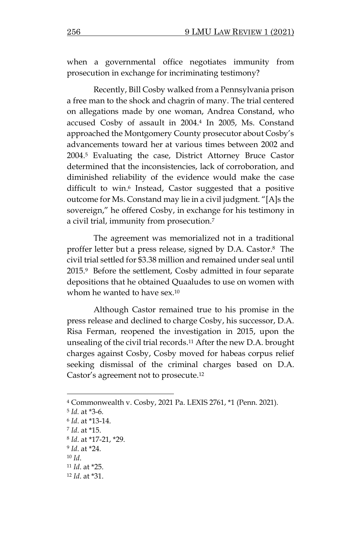when a governmental office negotiates immunity from prosecution in exchange for incriminating testimony?

Recently, Bill Cosby walked from a Pennsylvania prison a free man to the shock and chagrin of many. The trial centered on allegations made by one woman, Andrea Constand, who accused Cosby of assault in 2004.<sup>4</sup> In 2005, Ms. Constand approached the Montgomery County prosecutor about Cosby's advancements toward her at various times between 2002 and 2004. <sup>5</sup> Evaluating the case, District Attorney Bruce Castor determined that the inconsistencies, lack of corroboration, and diminished reliability of the evidence would make the case difficult to win. <sup>6</sup> Instead, Castor suggested that a positive outcome for Ms. Constand may lie in a civil judgment. "[A]s the sovereign," he offered Cosby, in exchange for his testimony in a civil trial, immunity from prosecution.<sup>7</sup>

The agreement was memorialized not in a traditional proffer letter but a press release, signed by D.A. Castor. <sup>8</sup> The civil trial settled for \$3.38 million and remained under seal until 2015. <sup>9</sup> Before the settlement, Cosby admitted in four separate depositions that he obtained Quaaludes to use on women with whom he wanted to have sex.<sup>10</sup>

Although Castor remained true to his promise in the press release and declined to charge Cosby, his successor, D.A. Risa Ferman, reopened the investigation in 2015, upon the unsealing of the civil trial records.<sup>11</sup> After the new D.A. brought charges against Cosby, Cosby moved for habeas corpus relief seeking dismissal of the criminal charges based on D.A. Castor's agreement not to prosecute.<sup>12</sup>

<sup>4</sup> Commonwealth v. Cosby, 2021 Pa. LEXIS 2761, \*1 (Penn. 2021).

<sup>5</sup> *Id.* at \*3-6*.* 

<sup>6</sup> *Id*. at \*13-14.

<sup>7</sup> *Id*. at \*15.

<sup>8</sup> *Id*. at \*17-21, \*29.

<sup>9</sup> *Id*. at \*24.

<sup>10</sup> *Id*.

<sup>11</sup> *Id*. at \*25.

<sup>12</sup> *Id*. at \*31.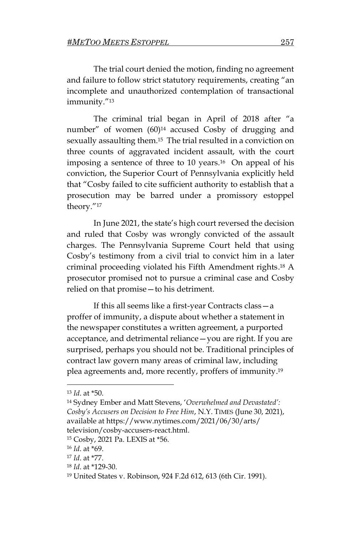The trial court denied the motion, finding no agreement and failure to follow strict statutory requirements, creating "an incomplete and unauthorized contemplation of transactional immunity."<sup>13</sup>

The criminal trial began in April of 2018 after "a number" of women (60) <sup>14</sup> accused Cosby of drugging and sexually assaulting them.<sup>15</sup> The trial resulted in a conviction on three counts of aggravated incident assault, with the court imposing a sentence of three to 10 years.16 On appeal of his conviction, the Superior Court of Pennsylvania explicitly held that "Cosby failed to cite sufficient authority to establish that a prosecution may be barred under a promissory estoppel theory."<sup>17</sup>

In June 2021, the state's high court reversed the decision and ruled that Cosby was wrongly convicted of the assault charges. The Pennsylvania Supreme Court held that using Cosby's testimony from a civil trial to convict him in a later criminal proceeding violated his Fifth Amendment rights. <sup>18</sup> A prosecutor promised not to pursue a criminal case and Cosby relied on that promise—to his detriment.

If this all seems like a first-year Contracts class—a proffer of immunity, a dispute about whether a statement in the newspaper constitutes a written agreement, a purported acceptance, and detrimental reliance—you are right. If you are surprised, perhaps you should not be. Traditional principles of contract law govern many areas of criminal law, including plea agreements and, more recently, proffers of immunity. 19

<sup>13</sup> *Id*. at \*50.

<sup>14</sup> Sydney Ember and Matt Stevens, '*Overwhelmed and Devastated': Cosby's Accusers on Decision to Free Him*, N.Y. TIMES (June 30, 2021), available at https://www.nytimes.com/2021/06/30/arts/ television/cosby-accusers-react.html.

<sup>15</sup> Cosby, 2021 Pa. LEXIS at \*56.

<sup>16</sup> *Id*. at \*69.

<sup>17</sup> *Id*. at \*77.

<sup>18</sup> *Id*. at \*129-30.

<sup>19</sup> United States v. Robinson, 924 F.2d 612, 613 (6th Cir. 1991).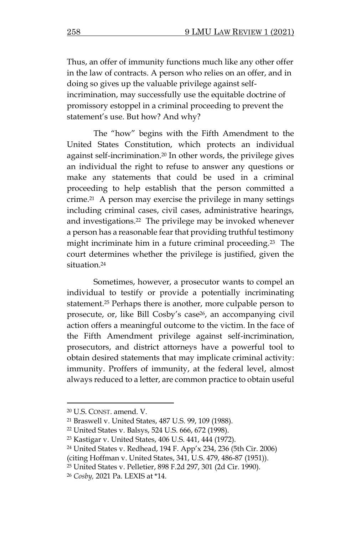Thus, an offer of immunity functions much like any other offer in the law of contracts. A person who relies on an offer, and in doing so gives up the valuable privilege against selfincrimination, may successfully use the equitable doctrine of promissory estoppel in a criminal proceeding to prevent the statement's use. But how? And why?

The "how" begins with the Fifth Amendment to the United States Constitution, which protects an individual against self-incrimination. <sup>20</sup> In other words, the privilege gives an individual the right to refuse to answer any questions or make any statements that could be used in a criminal proceeding to help establish that the person committed a crime.21 A person may exercise the privilege in many settings including criminal cases, civil cases, administrative hearings, and investigations.22 The privilege may be invoked whenever a person has a reasonable fear that providing truthful testimony might incriminate him in a future criminal proceeding.23 The court determines whether the privilege is justified, given the situation.<sup>24</sup>

Sometimes, however, a prosecutor wants to compel an individual to testify or provide a potentially incriminating statement. <sup>25</sup> Perhaps there is another, more culpable person to prosecute, or, like Bill Cosby's case26, an accompanying civil action offers a meaningful outcome to the victim. In the face of the Fifth Amendment privilege against self-incrimination, prosecutors, and district attorneys have a powerful tool to obtain desired statements that may implicate criminal activity: immunity. Proffers of immunity, at the federal level, almost always reduced to a letter, are common practice to obtain useful

<sup>20</sup> U.S. CONST. amend. V.

<sup>21</sup> Braswell v. United States, 487 U.S. 99, 109 (1988).

<sup>22</sup> United States v. Balsys, 524 U.S. 666, 672 (1998).

<sup>23</sup> Kastigar v. United States, 406 U.S. 441, 444 (1972).

<sup>24</sup> United States v. Redhead, 194 F. App'x 234, 236 (5th Cir. 2006)

<sup>(</sup>citing Hoffman v. United States, 341, U.S. 479, 486-87 (1951)).

<sup>25</sup> United States v. Pelletier, 898 F.2d 297, 301 (2d Cir. 1990).

<sup>26</sup> *Cosby,* 2021 Pa. LEXIS at \*14.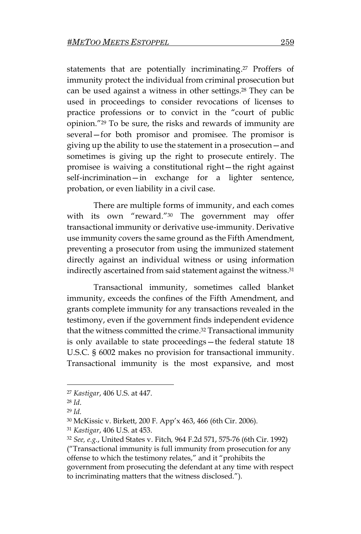statements that are potentially incriminating. <sup>27</sup> Proffers of immunity protect the individual from criminal prosecution but can be used against a witness in other settings. <sup>28</sup> They can be used in proceedings to consider revocations of licenses to practice professions or to convict in the "court of public opinion."<sup>29</sup> To be sure, the risks and rewards of immunity are several—for both promisor and promisee. The promisor is giving up the ability to use the statement in a prosecution—and sometimes is giving up the right to prosecute entirely. The promisee is waiving a constitutional right—the right against self-incrimination—in exchange for a lighter sentence, probation, or even liability in a civil case.

There are multiple forms of immunity, and each comes with its own "reward."<sup>30</sup> The government may offer transactional immunity or derivative use-immunity. Derivative use immunity covers the same ground as the Fifth Amendment, preventing a prosecutor from using the immunized statement directly against an individual witness or using information indirectly ascertained from said statement against the witness. 31

Transactional immunity, sometimes called blanket immunity, exceeds the confines of the Fifth Amendment, and grants complete immunity for any transactions revealed in the testimony, even if the government finds independent evidence that the witness committed the crime. <sup>32</sup> Transactional immunity is only available to state proceedings—the federal statute 18 U.S.C. § 6002 makes no provision for transactional immunity. Transactional immunity is the most expansive, and most

<sup>27</sup> *Kastigar*, 406 U.S. at 447.

<sup>28</sup> *Id*.

<sup>29</sup> *Id.* 

<sup>30</sup> McKissic v. Birkett, 200 F. App'x 463, 466 (6th Cir. 2006).

<sup>31</sup> *Kastigar*, 406 U.S. at 453.

<sup>32</sup> *See, e.g.*, United States v. Fitch*,* 964 F.2d 571, 575-76 (6th Cir. 1992)

<sup>(</sup>"Transactional immunity is full immunity from prosecution for any offense to which the testimony relates," and it "prohibits the government from prosecuting the defendant at any time with respect to incriminating matters that the witness disclosed.").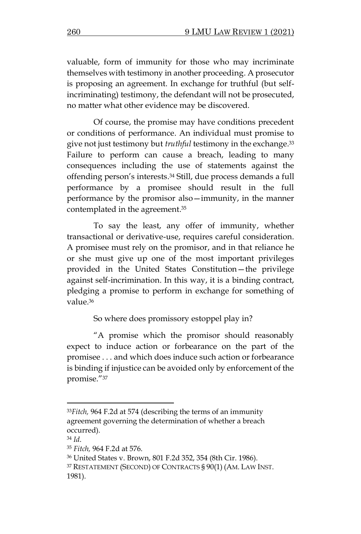valuable, form of immunity for those who may incriminate themselves with testimony in another proceeding. A prosecutor is proposing an agreement. In exchange for truthful (but selfincriminating) testimony, the defendant will not be prosecuted, no matter what other evidence may be discovered.

Of course, the promise may have conditions precedent or conditions of performance. An individual must promise to give not just testimony but *truthful* testimony in the exchange. 33 Failure to perform can cause a breach, leading to many consequences including the use of statements against the offending person's interests. <sup>34</sup> Still, due process demands a full performance by a promisee should result in the full performance by the promisor also—immunity, in the manner contemplated in the agreement. 35

To say the least, any offer of immunity, whether transactional or derivative-use, requires careful consideration. A promisee must rely on the promisor, and in that reliance he or she must give up one of the most important privileges provided in the United States Constitution—the privilege against self-incrimination. In this way, it is a binding contract, pledging a promise to perform in exchange for something of value. 36

So where does promissory estoppel play in?

"A promise which the promisor should reasonably expect to induce action or forbearance on the part of the promisee . . . and which does induce such action or forbearance is binding if injustice can be avoided only by enforcement of the promise."<sup>37</sup>

<sup>33</sup>*Fitch,* 964 F.2d at 574 (describing the terms of an immunity agreement governing the determination of whether a breach occurred).

<sup>34</sup> *Id*.

<sup>35</sup> *Fitch,* 964 F.2d at 576.

<sup>36</sup> United States v. Brown, 801 F.2d 352, 354 (8th Cir. 1986).

<sup>37</sup> RESTATEMENT (SECOND) OF CONTRACTS § 90(1) (AM. LAW INST. 1981).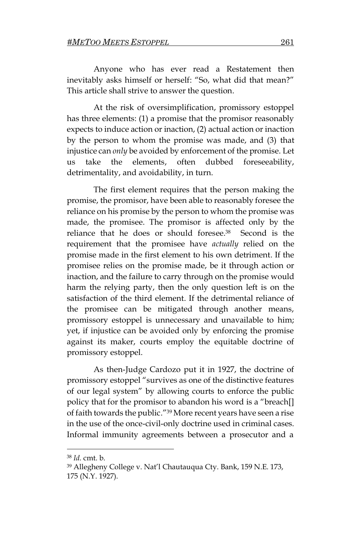Anyone who has ever read a Restatement then inevitably asks himself or herself: "So, what did that mean?" This article shall strive to answer the question.

At the risk of oversimplification, promissory estoppel has three elements: (1) a promise that the promisor reasonably expects to induce action or inaction, (2) actual action or inaction by the person to whom the promise was made, and (3) that injustice can *only* be avoided by enforcement of the promise. Let us take the elements, often dubbed foreseeability, detrimentality, and avoidability, in turn.

The first element requires that the person making the promise, the promisor, have been able to reasonably foresee the reliance on his promise by the person to whom the promise was made, the promisee. The promisor is affected only by the reliance that he does or should foresee.<sup>38</sup> Second is the requirement that the promisee have *actually* relied on the promise made in the first element to his own detriment. If the promisee relies on the promise made, be it through action or inaction, and the failure to carry through on the promise would harm the relying party, then the only question left is on the satisfaction of the third element. If the detrimental reliance of the promisee can be mitigated through another means, promissory estoppel is unnecessary and unavailable to him; yet, if injustice can be avoided only by enforcing the promise against its maker, courts employ the equitable doctrine of promissory estoppel.

As then-Judge Cardozo put it in 1927, the doctrine of promissory estoppel "survives as one of the distinctive features of our legal system" by allowing courts to enforce the public policy that for the promisor to abandon his word is a "breach[] of faith towards the public."<sup>39</sup> More recent years have seen a rise in the use of the once-civil-only doctrine used in criminal cases. Informal immunity agreements between a prosecutor and a

<sup>38</sup> *Id.* cmt. b.

<sup>39</sup> Allegheny College v. Nat'l Chautauqua Cty. Bank, 159 N.E. 173, 175 (N.Y. 1927).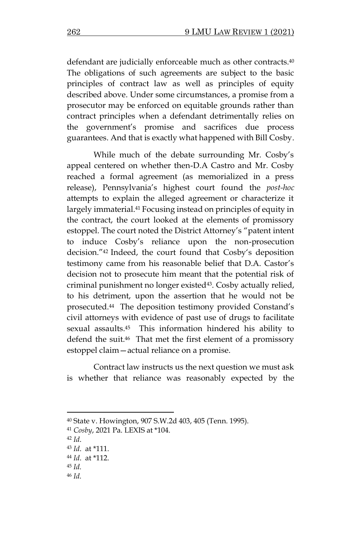defendant are judicially enforceable much as other contracts.<sup>40</sup> The obligations of such agreements are subject to the basic principles of contract law as well as principles of equity described above. Under some circumstances, a promise from a prosecutor may be enforced on equitable grounds rather than contract principles when a defendant detrimentally relies on the government's promise and sacrifices due process guarantees. And that is exactly what happened with Bill Cosby.

While much of the debate surrounding Mr. Cosby's appeal centered on whether then-D.A Castro and Mr. Cosby reached a formal agreement (as memorialized in a press release), Pennsylvania's highest court found the *post-hoc*  attempts to explain the alleged agreement or characterize it largely immaterial.<sup>41</sup> Focusing instead on principles of equity in the contract, the court looked at the elements of promissory estoppel. The court noted the District Attorney's "patent intent to induce Cosby's reliance upon the non-prosecution decision."<sup>42</sup> Indeed, the court found that Cosby's deposition testimony came from his reasonable belief that D.A. Castor's decision not to prosecute him meant that the potential risk of criminal punishment no longer existed<sup>43</sup>. Cosby actually relied, to his detriment, upon the assertion that he would not be prosecuted. <sup>44</sup> The deposition testimony provided Constand's civil attorneys with evidence of past use of drugs to facilitate sexual assaults. <sup>45</sup> This information hindered his ability to defend the suit.46 That met the first element of a promissory estoppel claim—actual reliance on a promise.

Contract law instructs us the next question we must ask is whether that reliance was reasonably expected by the

<sup>46</sup> *Id.* 

<sup>40</sup> State v. Howington, 907 S.W.2d 403, 405 (Tenn. 1995).

<sup>41</sup> *Cosby*, 2021 Pa. LEXIS at \*104.

<sup>42</sup> *Id*.

<sup>43</sup> *Id*. at \*111.

<sup>44</sup> *Id*. at \*112.

<sup>45</sup> *Id.*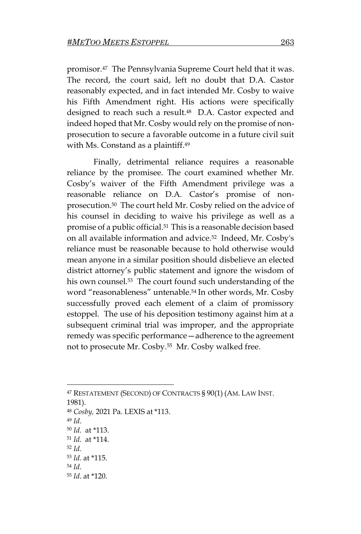promisor. <sup>47</sup> The Pennsylvania Supreme Court held that it was. The record, the court said, left no doubt that D.A. Castor reasonably expected, and in fact intended Mr. Cosby to waive his Fifth Amendment right. His actions were specifically designed to reach such a result.48 D.A. Castor expected and indeed hoped that Mr. Cosby would rely on the promise of nonprosecution to secure a favorable outcome in a future civil suit with Ms. Constand as a plaintiff.<sup>49</sup>

Finally, detrimental reliance requires a reasonable reliance by the promisee. The court examined whether Mr. Cosby's waiver of the Fifth Amendment privilege was a reasonable reliance on D.A. Castor's promise of nonprosecution.50 The court held Mr. Cosby relied on the advice of his counsel in deciding to waive his privilege as well as a promise of a public official. <sup>51</sup> This is a reasonable decision based on all available information and advice.<sup>52</sup> Indeed, Mr. Cosby's reliance must be reasonable because to hold otherwise would mean anyone in a similar position should disbelieve an elected district attorney's public statement and ignore the wisdom of his own counsel.<sup>53</sup> The court found such understanding of the word "reasonableness" untenable.<sup>54</sup> In other words, Mr. Cosby successfully proved each element of a claim of promissory estoppel. The use of his deposition testimony against him at a subsequent criminal trial was improper, and the appropriate remedy was specific performance—adherence to the agreement not to prosecute Mr. Cosby.55 Mr. Cosby walked free.

<sup>47</sup> RESTATEMENT (SECOND) OF CONTRACTS § 90(1) (AM. LAW INST. 1981). <sup>48</sup> *Cosby,* 2021 Pa. LEXIS at \*113. <sup>49</sup> *Id*. <sup>50</sup> *Id.* at \*113. <sup>51</sup> *Id.* at \*114. <sup>52</sup> *Id.*  <sup>53</sup> *Id.* at \*115. <sup>54</sup> *Id*. <sup>55</sup> *Id*. at \*120.